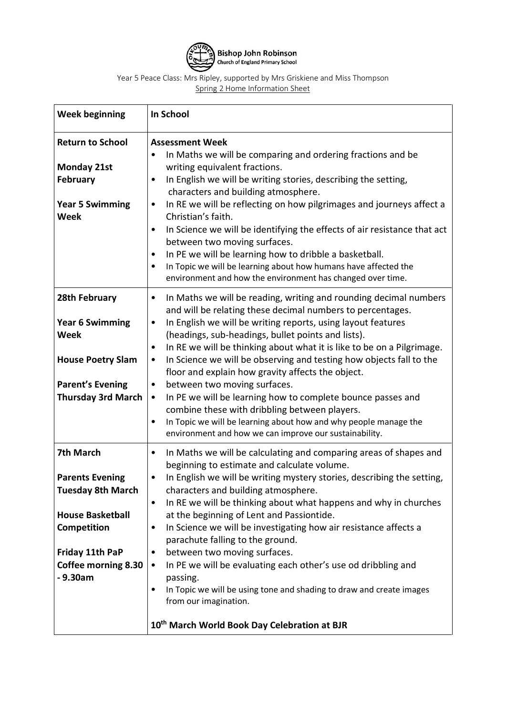

Year 5 Peace Class: Mrs Ripley, supported by Mrs Griskiene and Miss Thompson Spring 2 Home Information Sheet

| <b>Week beginning</b>                                                                                                                                                  | In School                                                                                                                                                                                                                                                                                                                                                                                                                                                                                                                                                                                                                                                                                                                                                                               |
|------------------------------------------------------------------------------------------------------------------------------------------------------------------------|-----------------------------------------------------------------------------------------------------------------------------------------------------------------------------------------------------------------------------------------------------------------------------------------------------------------------------------------------------------------------------------------------------------------------------------------------------------------------------------------------------------------------------------------------------------------------------------------------------------------------------------------------------------------------------------------------------------------------------------------------------------------------------------------|
| <b>Return to School</b><br><b>Monday 21st</b><br><b>February</b><br><b>Year 5 Swimming</b><br><b>Week</b>                                                              | <b>Assessment Week</b><br>In Maths we will be comparing and ordering fractions and be<br>writing equivalent fractions.<br>In English we will be writing stories, describing the setting,<br>characters and building atmosphere.<br>In RE we will be reflecting on how pilgrimages and journeys affect a<br>٠<br>Christian's faith.<br>In Science we will be identifying the effects of air resistance that act<br>$\bullet$<br>between two moving surfaces.<br>In PE we will be learning how to dribble a basketball.<br>$\bullet$<br>In Topic we will be learning about how humans have affected the<br>$\bullet$<br>environment and how the environment has changed over time.                                                                                                        |
| 28th February<br><b>Year 6 Swimming</b><br><b>Week</b><br><b>House Poetry Slam</b><br><b>Parent's Evening</b><br><b>Thursday 3rd March</b>                             | In Maths we will be reading, writing and rounding decimal numbers<br>٠<br>and will be relating these decimal numbers to percentages.<br>In English we will be writing reports, using layout features<br>(headings, sub-headings, bullet points and lists).<br>In RE we will be thinking about what it is like to be on a Pilgrimage.<br>٠<br>In Science we will be observing and testing how objects fall to the<br>$\bullet$<br>floor and explain how gravity affects the object.<br>between two moving surfaces.<br>٠<br>In PE we will be learning how to complete bounce passes and<br>$\bullet$<br>combine these with dribbling between players.<br>In Topic we will be learning about how and why people manage the<br>٠<br>environment and how we can improve our sustainability. |
| 7th March<br><b>Parents Evening</b><br><b>Tuesday 8th March</b><br><b>House Basketball</b><br>Competition<br>Friday 11th PaP<br><b>Coffee morning 8.30</b><br>- 9.30am | In Maths we will be calculating and comparing areas of shapes and<br>٠<br>beginning to estimate and calculate volume.<br>In English we will be writing mystery stories, describing the setting,<br>٠<br>characters and building atmosphere.<br>In RE we will be thinking about what happens and why in churches<br>٠<br>at the beginning of Lent and Passiontide.<br>In Science we will be investigating how air resistance affects a<br>٠<br>parachute falling to the ground.<br>between two moving surfaces.<br>In PE we will be evaluating each other's use od dribbling and<br>٠<br>passing.<br>In Topic we will be using tone and shading to draw and create images<br>٠<br>from our imagination.<br>10 <sup>th</sup> March World Book Day Celebration at BJR                      |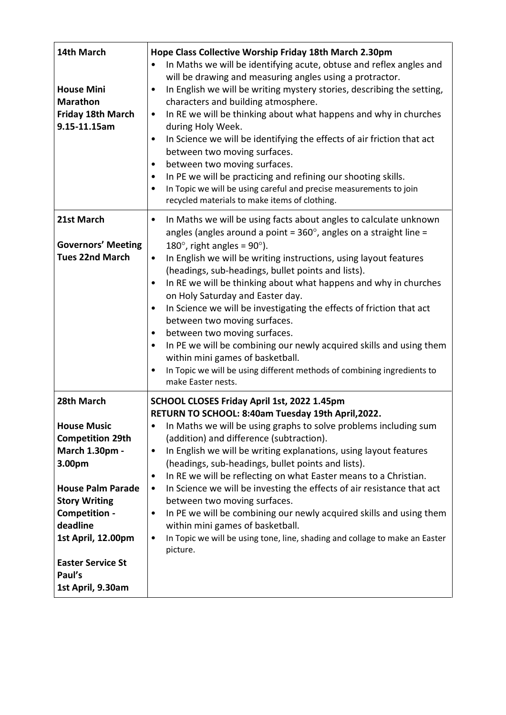| 14th March<br><b>House Mini</b><br><b>Marathon</b><br><b>Friday 18th March</b><br>9.15-11.15am                                                                                                                                                            | Hope Class Collective Worship Friday 18th March 2.30pm<br>In Maths we will be identifying acute, obtuse and reflex angles and<br>will be drawing and measuring angles using a protractor.<br>In English we will be writing mystery stories, describing the setting,<br>$\bullet$<br>characters and building atmosphere.<br>In RE we will be thinking about what happens and why in churches<br>$\bullet$<br>during Holy Week.<br>In Science we will be identifying the effects of air friction that act<br>$\bullet$<br>between two moving surfaces.<br>between two moving surfaces.<br>$\bullet$<br>In PE we will be practicing and refining our shooting skills.<br>In Topic we will be using careful and precise measurements to join<br>$\bullet$<br>recycled materials to make items of clothing.                                            |
|-----------------------------------------------------------------------------------------------------------------------------------------------------------------------------------------------------------------------------------------------------------|---------------------------------------------------------------------------------------------------------------------------------------------------------------------------------------------------------------------------------------------------------------------------------------------------------------------------------------------------------------------------------------------------------------------------------------------------------------------------------------------------------------------------------------------------------------------------------------------------------------------------------------------------------------------------------------------------------------------------------------------------------------------------------------------------------------------------------------------------|
| 21st March<br><b>Governors' Meeting</b><br><b>Tues 22nd March</b>                                                                                                                                                                                         | In Maths we will be using facts about angles to calculate unknown<br>٠<br>angles (angles around a point = $360^{\circ}$ , angles on a straight line =<br>180 $^{\circ}$ , right angles = 90 $^{\circ}$ ).<br>In English we will be writing instructions, using layout features<br>٠<br>(headings, sub-headings, bullet points and lists).<br>In RE we will be thinking about what happens and why in churches<br>$\bullet$<br>on Holy Saturday and Easter day.<br>In Science we will be investigating the effects of friction that act<br>$\bullet$<br>between two moving surfaces.<br>between two moving surfaces.<br>$\bullet$<br>In PE we will be combining our newly acquired skills and using them<br>٠<br>within mini games of basketball.<br>In Topic we will be using different methods of combining ingredients to<br>make Easter nests. |
| 28th March<br><b>House Music</b><br><b>Competition 29th</b><br>March 1.30pm -<br>3.00pm<br><b>House Palm Parade</b><br><b>Story Writing</b><br>Competition -<br>deadline<br>1st April, 12.00pm<br><b>Easter Service St</b><br>Paul's<br>1st April, 9.30am | SCHOOL CLOSES Friday April 1st, 2022 1.45pm<br>RETURN TO SCHOOL: 8:40am Tuesday 19th April, 2022.<br>In Maths we will be using graphs to solve problems including sum<br>٠<br>(addition) and difference (subtraction).<br>In English we will be writing explanations, using layout features<br>$\bullet$<br>(headings, sub-headings, bullet points and lists).<br>In RE we will be reflecting on what Easter means to a Christian.<br>$\bullet$<br>In Science we will be investing the effects of air resistance that act<br>٠<br>between two moving surfaces.<br>In PE we will be combining our newly acquired skills and using them<br>٠<br>within mini games of basketball.<br>In Topic we will be using tone, line, shading and collage to make an Easter<br>$\bullet$<br>picture.                                                            |
|                                                                                                                                                                                                                                                           |                                                                                                                                                                                                                                                                                                                                                                                                                                                                                                                                                                                                                                                                                                                                                                                                                                                   |